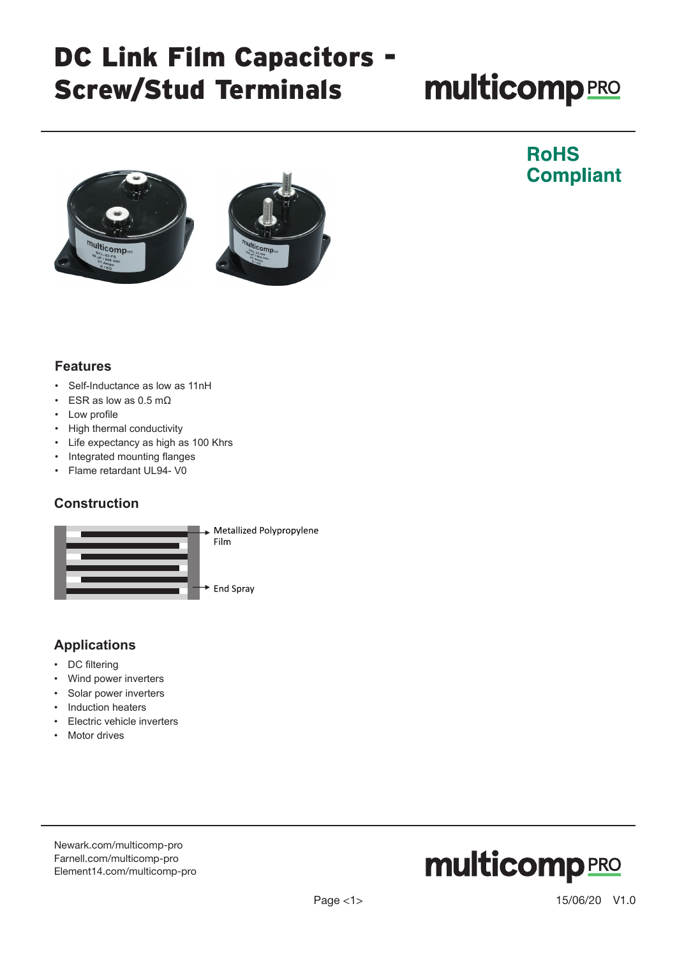# **multicomp**PRO



### **RoHS Compliant**

#### **Features**

- Self-Inductance as low as 11nH
- ESR as low as 0.5 m $\Omega$
- Low profile
- High thermal conductivity
- Life expectancy as high as 100 Khrs
- Integrated mounting flanges
- Flame retardant UL94- V0

#### **Construction**



### **Applications**

- DC filtering
- Wind power inverters
- Solar power inverters
- Induction heaters
- **Electric vehicle inverters**
- Motor drives

[Newark.com/multicomp-](https://www.newark.com/multicomp-pro)pro [Farnell.com/multicomp](https://www.farnell.com/multicomp-pro)-pro [Element14.com/multicomp-pro](https://element14.com/multicomp-pro)

## **multicomp**PRO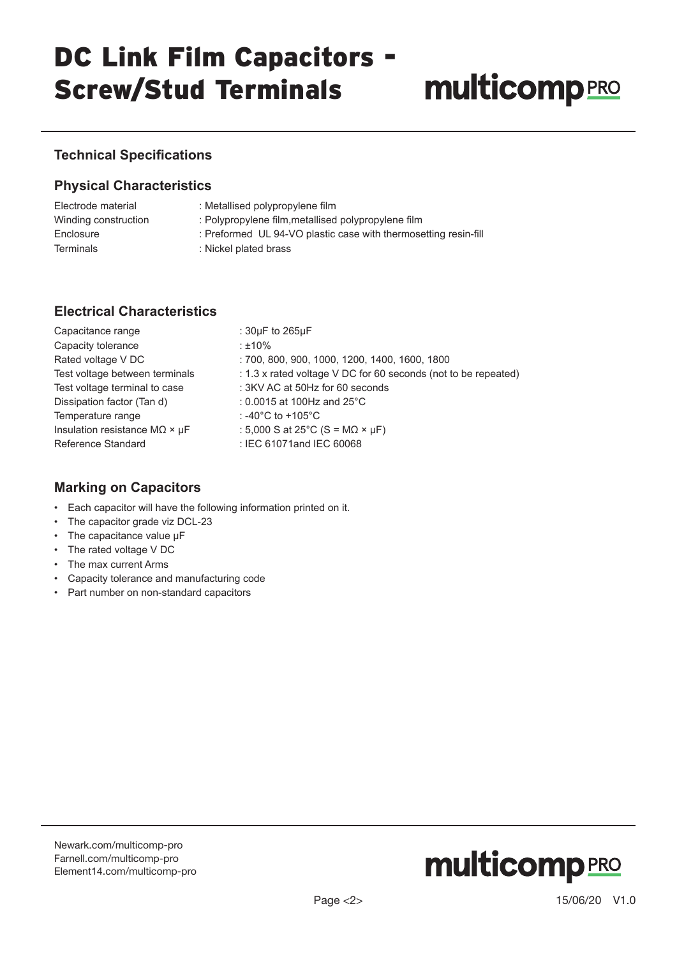# **multicomp**PRO

### **Technical Specifications**

#### **Physical Characteristics**

| Electrode material   | : Metallised polypropylene film                                 |
|----------------------|-----------------------------------------------------------------|
| Winding construction | : Polypropylene film, metallised polypropylene film             |
| Enclosure            | : Preformed UL 94-VO plastic case with thermosetting resin-fill |
| <b>Terminals</b>     | : Nickel plated brass                                           |

### **Electrical Characteristics**

| Capacitance range                            | : $30\mu$ F to $265\mu$ F                                      |
|----------------------------------------------|----------------------------------------------------------------|
| Capacity tolerance                           | ∶±10%                                                          |
| Rated voltage V DC                           | : 700, 800, 900, 1000, 1200, 1400, 1600, 1800                  |
| Test voltage between terminals               | : 1.3 x rated voltage V DC for 60 seconds (not to be repeated) |
| Test voltage terminal to case                | : 3KV AC at 50Hz for 60 seconds                                |
| Dissipation factor (Tan d)                   | : 0.0015 at 100Hz and $25^{\circ}$ C                           |
| Temperature range                            | : -40°C to +105°C                                              |
| Insulation resistance $M\Omega \times \mu F$ | : 5,000 S at 25 $^{\circ}$ C (S = M $\Omega \times \mu$ F)     |
| Reference Standard                           | : IEC 61071and IEC 60068                                       |

### **Marking on Capacitors**

- Each capacitor will have the following information printed on it.
- The capacitor grade viz DCL-23
- The capacitance value µF
- The rated voltage V DC
- The max current Arms
- Capacity tolerance and manufacturing code
- Part number on non-standard capacitors

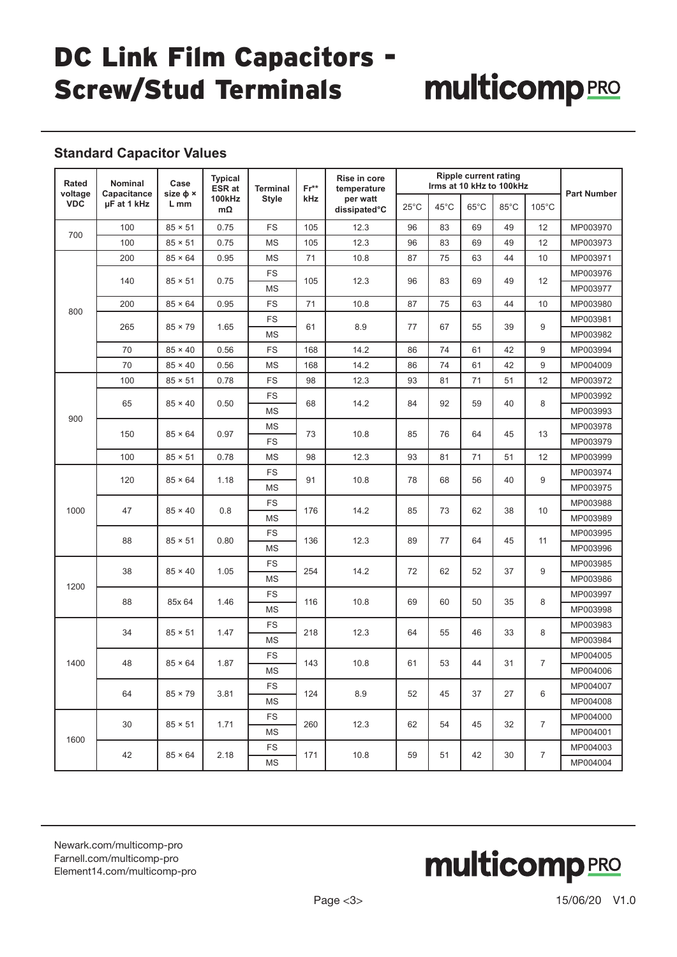# multicompRRO

### **Standard Capacitor Values**

| Rated<br>voltage | Nominal<br>Capacitance | Case<br>size $\phi \times$       | <b>Typical</b><br>ESR at | <b>Terminal</b> | $Fr**$<br><b>kHz</b> | Rise in core<br>temperature<br>per watt<br>dissipated°C | <b>Ripple current rating</b><br>Irms at 10 kHz to 100kHz |          |                |          |                                  | <b>Part Number</b> |
|------------------|------------------------|----------------------------------|--------------------------|-----------------|----------------------|---------------------------------------------------------|----------------------------------------------------------|----------|----------------|----------|----------------------------------|--------------------|
| <b>VDC</b>       | µF at 1 kHz            | L mm                             | 100kHz<br>mΩ             | <b>Style</b>    |                      |                                                         | $25^{\circ}$ C                                           | 45°C     | $65^{\circ}$ C | 85°C     | $105^{\circ}$ C                  |                    |
| 700              | 100                    | $85 \times 51$                   | 0.75                     | <b>FS</b>       | 105                  | 12.3                                                    | 96                                                       | 83       | 69             | 49       | 12                               | MP003970           |
|                  | 100                    | $85 \times 51$                   | 0.75                     | <b>MS</b>       | 105                  | 12.3                                                    | 96                                                       | 83       | 69             | 49       | 12                               | MP003973           |
| 800              | 200                    | $85 \times 64$                   | 0.95                     | ΜS              | 71                   | 10.8                                                    | 87                                                       | 75       | 63             | 44       | 10                               | MP003971           |
|                  | 140                    | $85 \times 51$                   | 0.75                     | <b>FS</b>       | 105                  | 12.3                                                    | 96                                                       | 83       | 69             | 49       | 12                               | MP003976           |
|                  |                        |                                  |                          | MS              |                      |                                                         |                                                          |          |                |          |                                  | MP003977           |
|                  | 200                    | $85 \times 64$                   | 0.95                     | <b>FS</b>       | 71                   | 10.8                                                    | 87                                                       | 75       | 63             | 44       | 10                               | MP003980           |
|                  | 265                    | $85 \times 79$                   | 1.65                     | FS              | 61                   | 8.9                                                     | 77                                                       | 67       | 55             | 39       | 9                                | MP003981           |
|                  |                        |                                  |                          | <b>MS</b>       |                      |                                                         |                                                          |          |                |          |                                  | MP003982           |
|                  | 70                     | $85 \times 40$                   | 0.56                     | <b>FS</b>       | 168                  | 14.2                                                    | 86                                                       | 74       | 61             | 42       | 9                                | MP003994           |
|                  | 70                     | $85 \times 40$                   | 0.56                     | <b>MS</b>       | 168                  | 14.2                                                    | 86                                                       | 74       | 61             | 42       | 9                                | MP004009           |
|                  | 100                    | $85 \times 51$                   | 0.78                     | <b>FS</b>       | 98                   | 12.3                                                    | 93                                                       | 81       | 71             | 51       | 12                               | MP003972           |
|                  | 65                     | $85 \times 40$                   | 0.50                     | <b>FS</b>       | 68                   | 14.2                                                    | 84                                                       | 92       | 59             | 40       | 8                                | MP003992           |
| 900              |                        |                                  |                          | <b>MS</b>       |                      |                                                         |                                                          |          |                |          |                                  | MP003993           |
|                  | 150                    | $85 \times 64$                   | 0.97                     | <b>MS</b>       | 73                   | 10.8                                                    | 85                                                       | 76       | 64             | 45       | 13                               | MP003978           |
|                  |                        |                                  |                          | <b>FS</b>       |                      |                                                         |                                                          |          |                |          |                                  | MP003979           |
|                  | 100                    | $85 \times 51$                   | 0.78                     | <b>MS</b>       | 98                   | 12.3                                                    | 93                                                       | 81       | 71             | 51       | 12                               | MP003999           |
|                  | 120                    | $85 \times 64$                   | 1.18                     | <b>FS</b>       | 91                   | 10.8                                                    | 78                                                       | 68       | 56             | 40       | 9                                | MP003974           |
| 1000             |                        |                                  |                          | <b>MS</b>       |                      |                                                         |                                                          |          |                |          |                                  | MP003975           |
|                  | 47                     | $85 \times 40$                   | 0.8                      | <b>FS</b>       | 176                  | 14.2                                                    | 85                                                       | 73       | 62             | 38       | 10                               | MP003988           |
|                  | 88                     | $85 \times 51$                   | 0.80                     | <b>MS</b>       | 136                  | 12.3                                                    |                                                          | 77       | 64             | 45       | 11                               | MP003989           |
|                  |                        |                                  |                          | <b>FS</b>       |                      |                                                         | 89                                                       |          |                |          |                                  | MP003995           |
|                  |                        |                                  |                          | <b>MS</b>       |                      |                                                         |                                                          |          |                |          |                                  | MP003996           |
|                  | 38                     | $85 \times 40$                   | 1.05                     | <b>FS</b>       | 254                  | 14.2                                                    | 72                                                       | 62       | 52             | 37       | 9                                | MP003985           |
| 1200             |                        |                                  |                          | <b>MS</b>       |                      |                                                         |                                                          |          |                |          |                                  | MP003986           |
| 88               |                        | 85x 64                           | 1.46                     | <b>FS</b>       | 116                  | 10.8                                                    | 69                                                       | 60       | 50             | 35       | 8                                | MP003997           |
|                  |                        |                                  |                          | <b>MS</b>       |                      |                                                         |                                                          |          |                |          |                                  | MP003998           |
|                  | 34                     | $85 \times 51$                   | 1.47                     | <b>FS</b>       | 218                  | 12.3                                                    | 64                                                       | 55       | 46             | 33       | 8                                | MP003983           |
|                  |                        |                                  |                          | <b>MS</b>       |                      |                                                         |                                                          |          |                |          |                                  | MP003984           |
| 1400             | 48<br>64               | $85 \times 64$<br>$85 \times 79$ | 1.87<br>3.81             | <b>FS</b>       | 143<br>124           | 10.8<br>8.9                                             | 61<br>52                                                 | 53<br>45 | 44<br>37       | 31<br>27 | $\overline{7}$<br>6              | MP004005           |
|                  |                        |                                  |                          | <b>MS</b>       |                      |                                                         |                                                          |          |                |          |                                  | MP004006           |
|                  |                        |                                  |                          | FS              |                      |                                                         |                                                          |          |                |          |                                  | MP004007           |
|                  |                        |                                  |                          | MS              |                      |                                                         |                                                          |          |                |          |                                  | MP004008           |
| 1600             | 30<br>42               | $85 \times 51$<br>$85 \times 64$ | 1.71                     | <b>FS</b>       | 260                  | 12.3<br>10.8                                            | 62<br>59                                                 | 54<br>51 | 45<br>42       | 32<br>30 | $\overline{7}$<br>$\overline{7}$ | MP004000           |
|                  |                        |                                  |                          | ΜS              |                      |                                                         |                                                          |          |                |          |                                  | MP004001           |
|                  |                        |                                  | 2.18                     | FS              | 171                  |                                                         |                                                          |          |                |          |                                  | MP004003           |
|                  |                        |                                  |                          | MS              |                      |                                                         |                                                          |          |                |          |                                  | MP004004           |

[Newark.com/multicomp-](https://www.newark.com/multicomp-pro)pro [Farnell.com/multicomp](https://www.farnell.com/multicomp-pro)-pro [Element14.com/multicomp-pro](https://element14.com/multicomp-pro)

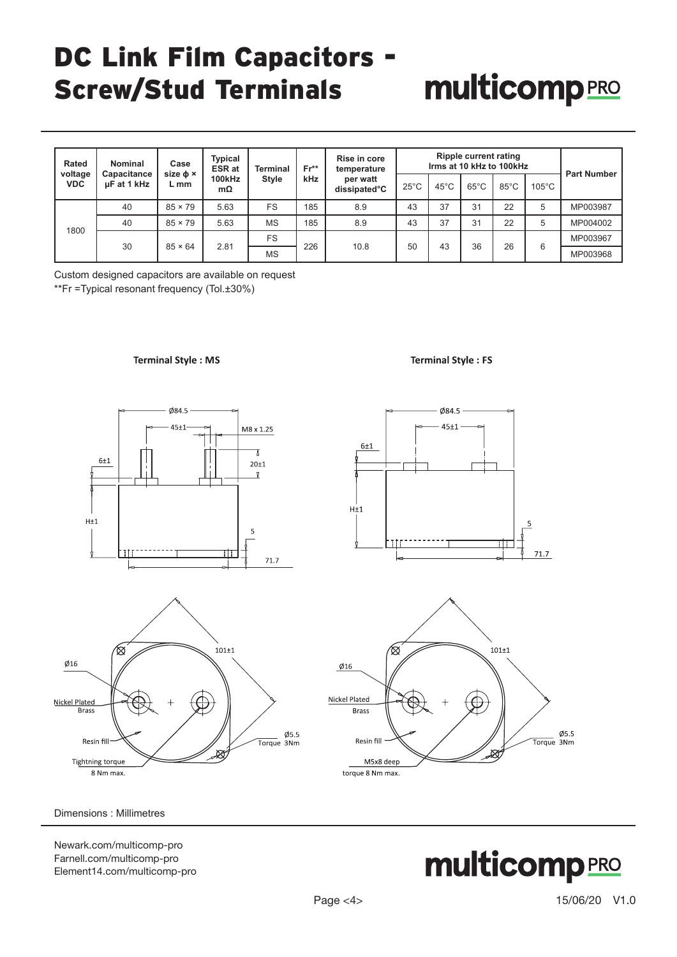# **multicomp**PRO

| Rated<br>voltage | Nominal<br>Capacitance | Case<br>size $\phi \times$ | Typical<br><b>ESR at</b> | Terminal     | $Fr**$ | Rise in core<br>temperature<br>per watt<br>dissipated°C | <b>Ripple current rating</b><br>Irms at 10 kHz to 100kHz |                |                |                |                 | <b>Part Number</b> |
|------------------|------------------------|----------------------------|--------------------------|--------------|--------|---------------------------------------------------------|----------------------------------------------------------|----------------|----------------|----------------|-----------------|--------------------|
| <b>VDC</b>       | µF at 1 kHz            | L mm                       | 100kHz<br>mΩ             | <b>Style</b> | kHz    |                                                         | $25^{\circ}$ C                                           | $45^{\circ}$ C | $65^{\circ}$ C | $85^{\circ}$ C | $105^{\circ}$ C |                    |
|                  | 40                     | $85 \times 79$             | 5.63                     | <b>FS</b>    | 185    | 8.9                                                     | 43                                                       | 37             | 31             | 22             | 5               | MP003987           |
|                  | 40                     | $85 \times 79$             | 5.63                     | <b>MS</b>    | 185    | 8.9                                                     | 43                                                       | 37             | 31             | 22             | 5               | MP004002           |
| 1800             | 30                     | $85 \times 64$             | 2.81                     | <b>FS</b>    | 226    | 10.8                                                    | 50                                                       | 43             | 36             | 26             | 6               | MP003967           |
|                  |                        |                            |                          | <b>MS</b>    |        |                                                         |                                                          |                |                |                |                 | MP003968           |

Custom designed capacitors are available on request \*\*Fr =Typical resonant frequency (Tol.±30%)

#### **Terminal Style: MS**







**Terminal Style: FS** 



Dimensions : Millimetres

[Newark.com/multicomp-](https://www.newark.com/multicomp-pro)pro [Farnell.com/multicomp](https://www.farnell.com/multicomp-pro)-pro [Element14.com/multicomp-pro](https://element14.com/multicomp-pro)

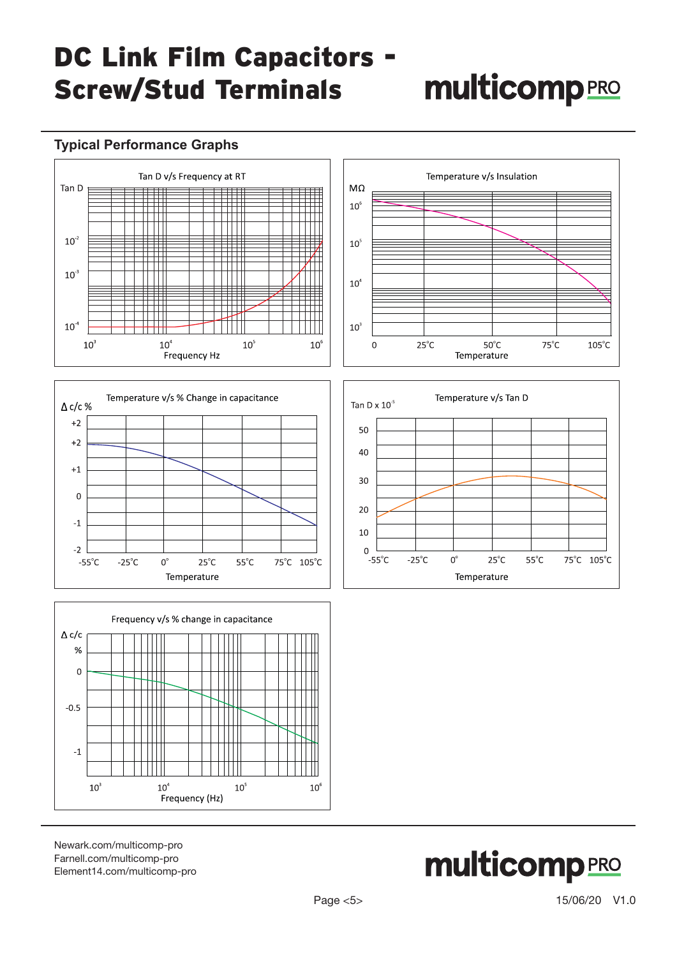# **multicomp**PRO

### **Typical Performance Graphs**







[Newark.com/multicomp-](https://www.newark.com/multicomp-pro)pro [Farnell.com/multicomp](https://www.farnell.com/multicomp-pro)-pro [Element14.com/multicomp-pro](https://element14.com/multicomp-pro)